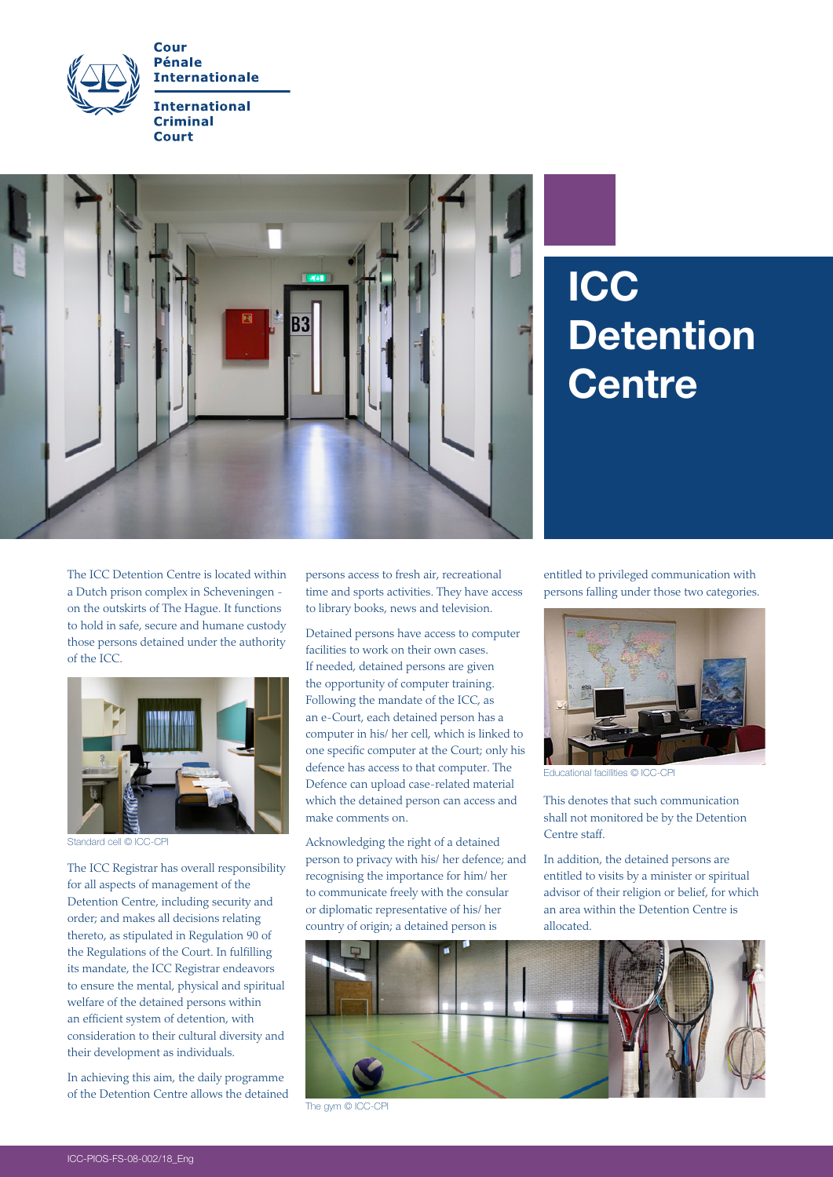



## **ICC Detention Centre**

The ICC Detention Centre is located within a Dutch prison complex in Scheveningen on the outskirts of The Hague. It functions to hold in safe, secure and humane custody those persons detained under the authority of the ICC.



Standard cell © ICC-CPI

The ICC Registrar has overall responsibility for all aspects of management of the Detention Centre, including security and order; and makes all decisions relating thereto, as stipulated in Regulation 90 of the Regulations of the Court. In fulfilling its mandate, the ICC Registrar endeavors to ensure the mental, physical and spiritual welfare of the detained persons within an efficient system of detention, with consideration to their cultural diversity and their development as individuals.

In achieving this aim, the daily programme of the Detention Centre allows the detained persons access to fresh air, recreational time and sports activities. They have access to library books, news and television.

Detained persons have access to computer facilities to work on their own cases. If needed, detained persons are given the opportunity of computer training. Following the mandate of the ICC, as an e-Court, each detained person has a computer in his/ her cell, which is linked to one specific computer at the Court; only his defence has access to that computer. The Defence can upload case-related material which the detained person can access and make comments on.

Acknowledging the right of a detained person to privacy with his/ her defence; and recognising the importance for him/ her to communicate freely with the consular or diplomatic representative of his/ her country of origin; a detained person is

entitled to privileged communication with persons falling under those two categories.



Educational facillities © ICC-CPI

This denotes that such communication shall not monitored be by the Detention Centre staff.

In addition, the detained persons are entitled to visits by a minister or spiritual advisor of their religion or belief, for which an area within the Detention Centre is allocated.



The gym © ICC-CPI